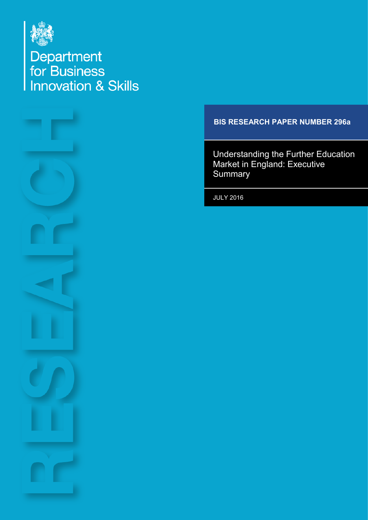

Department<br>for Business<br>Innovation & Skills



## **BIS RESEARCH PAPER NUMBER 296a**

Understanding the Further Education Market in England: Executive **Summary** 

JULY 2016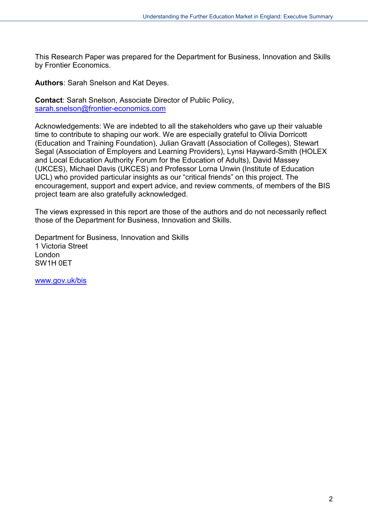This Research Paper was prepared for the Department for Business, Innovation and Skills by Frontier Economics.

**Authors**: Sarah Snelson and Kat Deyes.

**Contact**: Sarah Snelson, Associate Director of Public Policy, [sarah.snelson@frontier-economics.com](mailto:sarah.snelson@frontier-economics.com)

Acknowledgements: We are indebted to all the stakeholders who gave up their valuable time to contribute to shaping our work. We are especially grateful to Olivia Dorricott (Education and Training Foundation), Julian Gravatt (Association of Colleges), Stewart Segal (Association of Employers and Learning Providers), Lynsi Hayward-Smith (HOLEX and Local Education Authority Forum for the Education of Adults), David Massey (UKCES), Michael Davis (UKCES) and Professor Lorna Unwin (Institute of Education UCL) who provided particular insights as our "critical friends" on this project. The encouragement, support and expert advice, and review comments, of members of the BIS project team are also gratefully acknowledged.

The views expressed in this report are those of the authors and do not necessarily reflect those of the Department for Business, Innovation and Skills.

Department for Business, Innovation and Skills 1 Victoria Street London SW1H 0ET

[www.gov.uk/bis](http://www.gov.uk/bis)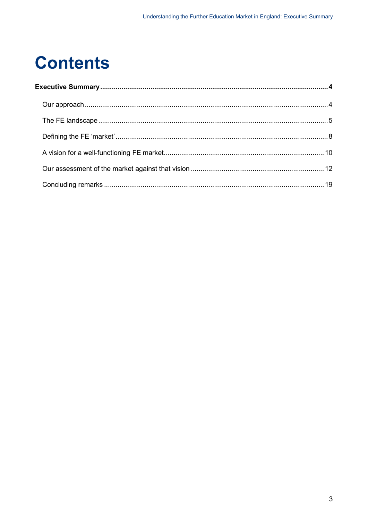# **Contents**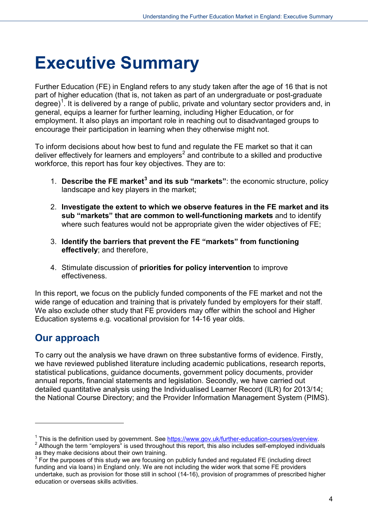# <span id="page-3-0"></span>**Executive Summary**

Further Education (FE) in England refers to any study taken after the age of 16 that is not part of higher education (that is, not taken as part of an undergraduate or post-graduate degree)<sup>[1](#page-3-2)</sup>. It is delivered by a range of public, private and voluntary sector providers and, in general, equips a learner for further learning, including Higher Education, or for employment. It also plays an important role in reaching out to disadvantaged groups to encourage their participation in learning when they otherwise might not.

To inform decisions about how best to fund and regulate the FE market so that it can deliver effectively for learners and employers<sup>[2](#page-3-3)</sup> and contribute to a skilled and productive workforce, this report has four key objectives. They are to:

- 1. **Describe the FE market[3](#page-3-4) and its sub "markets"**: the economic structure, policy landscape and key players in the market;
- 2. **Investigate the extent to which we observe features in the FE market and its sub "markets" that are common to well-functioning markets** and to identify where such features would not be appropriate given the wider objectives of FE;
- 3. **Identify the barriers that prevent the FE "markets" from functioning effectively**; and therefore,
- 4. Stimulate discussion of **priorities for policy intervention** to improve effectiveness.

In this report, we focus on the publicly funded components of the FE market and not the wide range of education and training that is privately funded by employers for their staff. We also exclude other study that FE providers may offer within the school and Higher Education systems e.g. vocational provision for 14-16 year olds.

# <span id="page-3-1"></span>**Our approach**

-

To carry out the analysis we have drawn on three substantive forms of evidence. Firstly, we have reviewed published literature including academic publications, research reports, statistical publications, guidance documents, government policy documents, provider annual reports, financial statements and legislation. Secondly, we have carried out detailed quantitative analysis using the Individualised Learner Record (ILR) for 2013/14; the National Course Directory; and the Provider Information Management System (PIMS).

<span id="page-3-3"></span><span id="page-3-2"></span><sup>&</sup>lt;sup>1</sup> This is the definition used by government. See  $\frac{https://www.gov.uk/further-education-course/s/overview}{\text{Although the term "employees" is used throughout this report, this also includes self-employed individuals}$ as they make decisions about their own training.

<span id="page-3-4"></span> $3$  For the purposes of this study we are focusing on publicly funded and regulated FE (including direct funding and via loans) in England only. We are not including the wider work that some FE providers undertake, such as provision for those still in school (14-16), provision of programmes of prescribed higher education or overseas skills activities.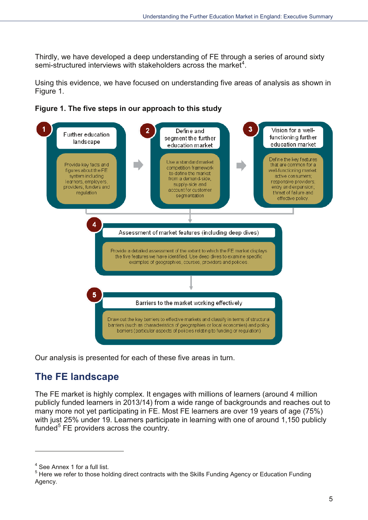Thirdly, we have developed a deep understanding of FE through a series of around sixty semi-structured interviews with stakeholders across the market<sup>4</sup>.

Using this evidence, we have focused on understanding five areas of analysis as shown in Figure 1.





Our analysis is presented for each of these five areas in turn.

# <span id="page-4-0"></span>**The FE landscape**

The FE market is highly complex. It engages with millions of learners (around 4 million publicly funded learners in 2013/14) from a wide range of backgrounds and reaches out to many more not yet participating in FE. Most FE learners are over 19 years of age (75%) with just 25% under 19. Learners participate in learning with one of around 1,150 publicly funded<sup>5</sup> FE providers across the country.

<span id="page-4-1"></span><sup>&</sup>lt;sup>4</sup> See Annex 1 for a full list.

<span id="page-4-2"></span><sup>&</sup>lt;sup>5</sup> Here we refer to those holding direct contracts with the Skills Funding Agency or Education Funding Agency.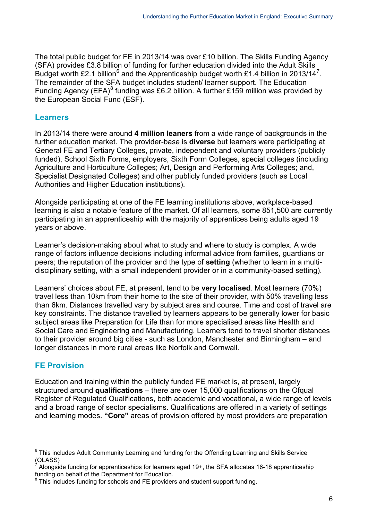The total public budget for FE in 2013/14 was over £10 billion. The Skills Funding Agency (SFA) provides £3.8 billion of funding for further education divided into the Adult Skills Budget worth £2.1 billion<sup>[6](#page-5-0)</sup> and the Apprenticeship budget worth £1.4 billion in 2013/14<sup>[7](#page-5-1)</sup>. The remainder of the SFA budget includes student/ learner support. The Education Funding Agency (EFA)<sup>[8](#page-5-2)</sup> funding was £6.2 billion. A further £159 million was provided by the European Social Fund (ESF).

#### **Learners**

In 2013/14 there were around **4 million leaners** from a wide range of backgrounds in the further education market. The provider-base is **diverse** but learners were participating at General FE and Tertiary Colleges, private, independent and voluntary providers (publicly funded), School Sixth Forms, employers, Sixth Form Colleges, special colleges (including Agriculture and Horticulture Colleges; Art, Design and Performing Arts Colleges; and, Specialist Designated Colleges) and other publicly funded providers (such as Local Authorities and Higher Education institutions).

Alongside participating at one of the FE learning institutions above, workplace-based learning is also a notable feature of the market. Of all learners, some 851,500 are currently participating in an apprenticeship with the majority of apprentices being adults aged 19 years or above.

Learner's decision-making about what to study and where to study is complex. A wide range of factors influence decisions including informal advice from families, guardians or peers; the reputation of the provider and the type of **setting** (whether to learn in a multidisciplinary setting, with a small independent provider or in a community-based setting).

Learners' choices about FE, at present, tend to be **very localised**. Most learners (70%) travel less than 10km from their home to the site of their provider, with 50% travelling less than 6km. Distances travelled vary by subject area and course. Time and cost of travel are key constraints. The distance travelled by learners appears to be generally lower for basic subject areas like Preparation for Life than for more specialised areas like Health and Social Care and Engineering and Manufacturing. Learners tend to travel shorter distances to their provider around big cities - such as London, Manchester and Birmingham – and longer distances in more rural areas like Norfolk and Cornwall.

### **FE Provision**

-

Education and training within the publicly funded FE market is, at present, largely structured around **qualifications** – there are over 15,000 qualifications on the Ofqual Register of Regulated Qualifications, both academic and vocational, a wide range of levels and a broad range of sector specialisms. Qualifications are offered in a variety of settings and learning modes. **"Core"** areas of provision offered by most providers are preparation

<span id="page-5-0"></span> $6$  This includes Adult Community Learning and funding for the Offending Learning and Skills Service (OLASS)

<span id="page-5-1"></span><sup>7</sup> Alongside funding for apprenticeships for learners aged 19+, the SFA allocates 16-18 apprenticeship funding on behalf of the Department for Education.

<span id="page-5-2"></span> $8$  This includes funding for schools and FE providers and student support funding.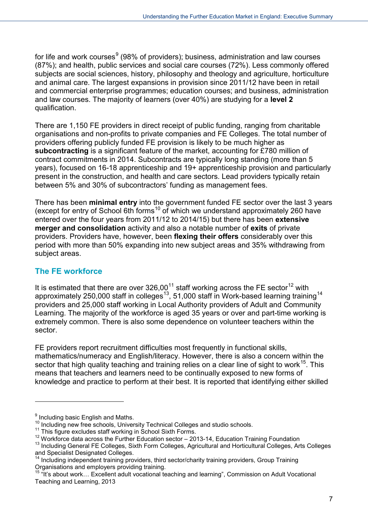for life and work courses  $9(98\%$  $9(98\%$  of providers); business, administration and law courses (87%); and health, public services and social care courses (72%). Less commonly offered subjects are social sciences, history, philosophy and theology and agriculture, horticulture and animal care. The largest expansions in provision since 2011/12 have been in retail and commercial enterprise programmes; education courses; and business, administration and law courses. The majority of learners (over 40%) are studying for a **level 2** qualification.

There are 1,150 FE providers in direct receipt of public funding, ranging from charitable organisations and non-profits to private companies and FE Colleges. The total number of providers offering publicly funded FE provision is likely to be much higher as **subcontracting** is a significant feature of the market, accounting for £780 million of contract commitments in 2014. Subcontracts are typically long standing (more than 5 years), focused on 16-18 apprenticeship and 19+ apprenticeship provision and particularly present in the construction, and health and care sectors. Lead providers typically retain between 5% and 30% of subcontractors' funding as management fees.

There has been **minimal entry** into the government funded FE sector over the last 3 years (except for entry of School 6th forms<sup>[10](#page-6-1)</sup> of which we understand approximately 260 have entered over the four years from 2011/12 to 2014/15) but there has been **extensive merger and consolidation** activity and also a notable number of **exits** of private providers. Providers have, however, been **flexing their offers** considerably over this period with more than 50% expanding into new subject areas and 35% withdrawing from subject areas.

### **The FE workforce**

It is estimated that there are over  $326,00^{11}$  staff working across the FE sector<sup>[12](#page-6-3)</sup> with approximately 250,000 staff in colleges<sup>[13](#page-6-4)</sup>, 51,000 staff in Work-based learning training<sup>[14](#page-6-5)</sup> providers and 25,000 staff working in Local Authority providers of Adult and Community Learning. The majority of the workforce is aged 35 years or over and part-time working is extremely common. There is also some dependence on volunteer teachers within the sector.

FE providers report recruitment difficulties most frequently in functional skills, mathematics/numeracy and English/literacy. However, there is also a concern within the sector that high quality teaching and training relies on a clear line of sight to work<sup>[15](#page-6-6)</sup>. This means that teachers and learners need to be continually exposed to new forms of knowledge and practice to perform at their best. It is reported that identifying either skilled

<u>.</u>

<span id="page-6-0"></span><sup>&</sup>lt;sup>9</sup> Including basic English and Maths.

<span id="page-6-2"></span>

<span id="page-6-1"></span><sup>&</sup>lt;sup>10</sup> Including new free schools, University Technical Colleges and studio schools.<br><sup>11</sup> This figure excludes staff working in School Sixth Forms.<br><sup>12</sup> Workforce data across the Further Education sector – 2013-14, Educatio

<span id="page-6-4"></span><span id="page-6-3"></span><sup>&</sup>lt;sup>13</sup> Including General FE Colleges, Sixth Form Colleges, Agricultural and Horticultural Colleges, Arts Colleges and Specialist Designated Colleges.

<span id="page-6-5"></span><sup>&</sup>lt;sup>14</sup> Including independent training providers, third sector/charity training providers, Group Training Organisations and employers providing training.

<span id="page-6-6"></span><sup>&</sup>lt;sup>15 "It's about work... Excellent adult vocational teaching and learning", Commission on Adult Vocational</sup> Teaching and Learning, 2013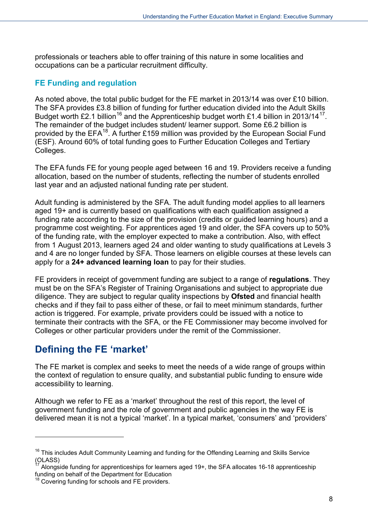professionals or teachers able to offer training of this nature in some localities and occupations can be a particular recruitment difficulty.

### **FE Funding and regulation**

As noted above, the total public budget for the FE market in 2013/14 was over £10 billion. The SFA provides £3.8 billion of funding for further education divided into the Adult Skills Budget worth £2.1 billion<sup>[16](#page-7-1)</sup> and the Apprenticeship budget worth £1.4 billion in 2013/14<sup>17</sup>. The remainder of the budget includes student/ learner support. Some £6.2 billion is provided by the EFA<sup>18</sup>. A further £159 million was provided by the European Social Fund (ESF). Around 60% of total funding goes to Further Education Colleges and Tertiary Colleges.

The EFA funds FE for young people aged between 16 and 19. Providers receive a funding allocation, based on the number of students, reflecting the number of students enrolled last year and an adjusted national funding rate per student.

Adult funding is administered by the SFA. The adult funding model applies to all learners aged 19+ and is currently based on qualifications with each qualification assigned a funding rate according to the size of the provision (credits or guided learning hours) and a programme cost weighting. For apprentices aged 19 and older, the SFA covers up to 50% of the funding rate, with the employer expected to make a contribution. Also, with effect from 1 August 2013, learners aged 24 and older wanting to study qualifications at Levels 3 and 4 are no longer funded by SFA. Those learners on eligible courses at these levels can apply for a **24+ advanced learning loan** to pay for their studies.

FE providers in receipt of government funding are subject to a range of **regulations**. They must be on the SFA's Register of Training Organisations and subject to appropriate due diligence. They are subject to regular quality inspections by **Ofsted** and financial health checks and if they fail to pass either of these, or fail to meet minimum standards, further action is triggered. For example, private providers could be issued with a notice to terminate their contracts with the SFA, or the FE Commissioner may become involved for Colleges or other particular providers under the remit of the Commissioner.

# <span id="page-7-0"></span>**Defining the FE 'market'**

-

The FE market is complex and seeks to meet the needs of a wide range of groups within the context of regulation to ensure quality, and substantial public funding to ensure wide accessibility to learning.

Although we refer to FE as a 'market' throughout the rest of this report, the level of government funding and the role of government and public agencies in the way FE is delivered mean it is not a typical 'market'. In a typical market, 'consumers' and 'providers'

<span id="page-7-1"></span> $16$  This includes Adult Community Learning and funding for the Offending Learning and Skills Service (OLASS)

<span id="page-7-2"></span>Alongside funding for apprenticeships for learners aged 19+, the SFA allocates 16-18 apprenticeship funding on behalf of the Department for Education

<span id="page-7-3"></span><sup>&</sup>lt;sup>18</sup> Covering funding for schools and FE providers.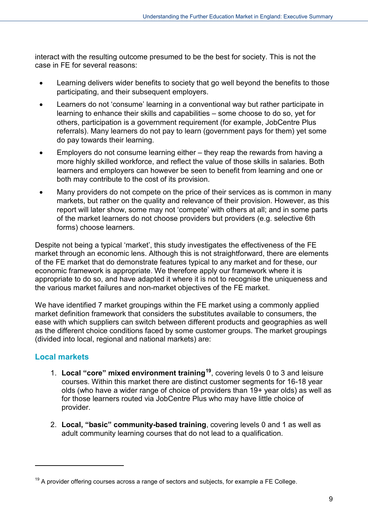interact with the resulting outcome presumed to be the best for society. This is not the case in FE for several reasons:

- Learning delivers wider benefits to society that go well beyond the benefits to those participating, and their subsequent employers.
- Learners do not 'consume' learning in a conventional way but rather participate in learning to enhance their skills and capabilities – some choose to do so, yet for others, participation is a government requirement (for example, JobCentre Plus referrals). Many learners do not pay to learn (government pays for them) yet some do pay towards their learning.
- Employers do not consume learning either they reap the rewards from having a more highly skilled workforce, and reflect the value of those skills in salaries. Both learners and employers can however be seen to benefit from learning and one or both may contribute to the cost of its provision.
- Many providers do not compete on the price of their services as is common in many markets, but rather on the quality and relevance of their provision. However, as this report will later show, some may not 'compete' with others at all; and in some parts of the market learners do not choose providers but providers (e.g. selective 6th forms) choose learners.

Despite not being a typical 'market', this study investigates the effectiveness of the FE market through an economic lens. Although this is not straightforward, there are elements of the FE market that do demonstrate features typical to any market and for these, our economic framework is appropriate. We therefore apply our framework where it is appropriate to do so, and have adapted it where it is not to recognise the uniqueness and the various market failures and non-market objectives of the FE market.

We have identified 7 market groupings within the FE market using a commonly applied market definition framework that considers the substitutes available to consumers, the ease with which suppliers can switch between different products and geographies as well as the different choice conditions faced by some customer groups. The market groupings (divided into local, regional and national markets) are:

## **Local markets**

-

- 1. **Local "core" mixed environment training[19](#page-8-0)**, covering levels 0 to 3 and leisure courses. Within this market there are distinct customer segments for 16-18 year olds (who have a wider range of choice of providers than 19+ year olds) as well as for those learners routed via JobCentre Plus who may have little choice of provider.
- 2. **Local, "basic" community-based training**, covering levels 0 and 1 as well as adult community learning courses that do not lead to a qualification.

<span id="page-8-0"></span> $19$  A provider offering courses across a range of sectors and subjects, for example a FE College.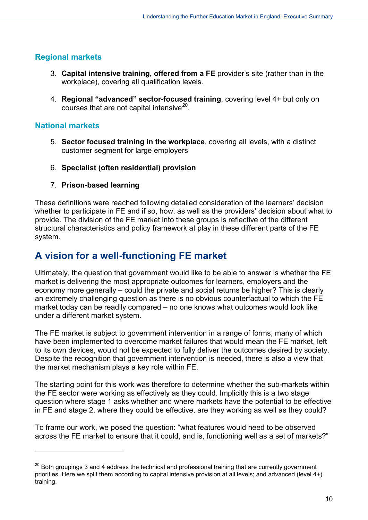## **Regional markets**

- 3. **Capital intensive training, offered from a FE** provider's site (rather than in the workplace), covering all qualification levels.
- 4. **Regional "advanced" sector-focused training**, covering level 4+ but only on courses that are not capital intensive<sup>20</sup>.

### **National markets**

-

- 5. **Sector focused training in the workplace**, covering all levels, with a distinct customer segment for large employers
- 6. **Specialist (often residential) provision**
- 7. **Prison-based learning**

These definitions were reached following detailed consideration of the learners' decision whether to participate in FE and if so, how, as well as the providers' decision about what to provide. The division of the FE market into these groups is reflective of the different structural characteristics and policy framework at play in these different parts of the FE system.

# <span id="page-9-0"></span>**A vision for a well-functioning FE market**

Ultimately, the question that government would like to be able to answer is whether the FE market is delivering the most appropriate outcomes for learners, employers and the economy more generally – could the private and social returns be higher? This is clearly an extremely challenging question as there is no obvious counterfactual to which the FE market today can be readily compared – no one knows what outcomes would look like under a different market system.

The FE market is subject to government intervention in a range of forms, many of which have been implemented to overcome market failures that would mean the FE market, left to its own devices, would not be expected to fully deliver the outcomes desired by society. Despite the recognition that government intervention is needed, there is also a view that the market mechanism plays a key role within FE.

The starting point for this work was therefore to determine whether the sub-markets within the FE sector were working as effectively as they could. Implicitly this is a two stage question where stage 1 asks whether and where markets have the potential to be effective in FE and stage 2, where they could be effective, are they working as well as they could?

To frame our work, we posed the question: "what features would need to be observed across the FE market to ensure that it could, and is, functioning well as a set of markets?"

<span id="page-9-1"></span><sup>&</sup>lt;sup>20</sup> Both groupings 3 and 4 address the technical and professional training that are currently government priorities. Here we split them according to capital intensive provision at all levels; and advanced (level 4+) training.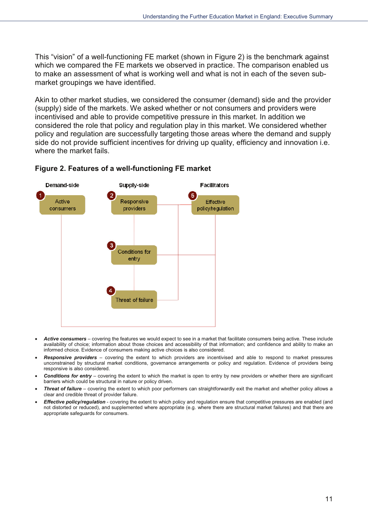This "vision" of a well-functioning FE market (shown in Figure 2) is the benchmark against which we compared the FE markets we observed in practice. The comparison enabled us to make an assessment of what is working well and what is not in each of the seven submarket groupings we have identified.

Akin to other market studies, we considered the consumer (demand) side and the provider (supply) side of the markets. We asked whether or not consumers and providers were incentivised and able to provide competitive pressure in this market. In addition we considered the role that policy and regulation play in this market. We considered whether policy and regulation are successfully targeting those areas where the demand and supply side do not provide sufficient incentives for driving up quality, efficiency and innovation i.e. where the market fails.



#### Figure 2. Features of a well-functioning FE market

- Active consumers covering the features we would expect to see in a market that facilitate consumers being active. These include availability of choice; information about those choices and accessibility of that information; and confidence and ability to make an informed choice. Evidence of consumers making active choices is also considered.
- Responsive providers covering the extent to which providers are incentivised and able to respond to market pressures unconstrained by structural market conditions, governance arrangements or policy and regulation. Evidence of providers being responsive is also considered.
- **Conditions for entry** covering the extent to which the market is open to entry by new providers or whether there are significant barriers which could be structural in nature or policy driven.
- Threat of failure covering the extent to which poor performers can straightforwardly exit the market and whether policy allows a clear and credible threat of provider failure.
- Effective policy/regulation covering the extent to which policy and regulation ensure that competitive pressures are enabled (and not distorted or reduced), and supplemented where appropriate (e.g. where there are structural market failures) and that there are appropriate safeguards for consumers.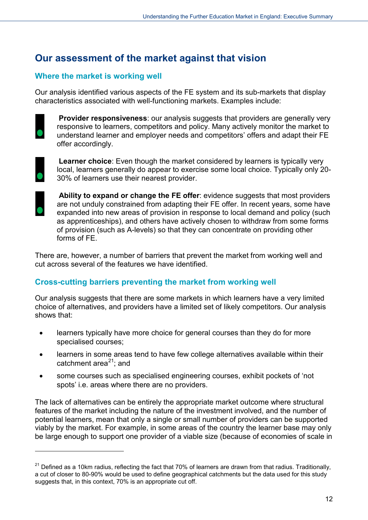# <span id="page-11-0"></span>**Our assessment of the market against that vision**

### **Where the market is working well**

Our analysis identified various aspects of the FE system and its sub-markets that display characteristics associated with well-functioning markets. Examples include:



**Provider responsiveness:** our analysis suggests that providers are generally very responsive to learners, competitors and policy. Many actively monitor the market to understand learner and employer needs and competitors' offers and adapt their FE offer accordingly.



**Learner choice:** Even though the market considered by learners is typically very local, learners generally do appear to exercise some local choice. Typically only 20- 30% of learners use their nearest provider.



-

Ability to expand or change the FE offer: evidence suggests that most providers are not unduly constrained from adapting their FE offer. In recent years, some have expanded into new areas of provision in response to local demand and policy (such as apprenticeships), and others have actively chosen to withdraw from some forms of provision (such as A-levels) so that they can concentrate on providing other forms of FE.

There are, however, a number of barriers that prevent the market from working well and cut across several of the features we have identified.

### **Cross-cutting barriers preventing the market from working well**

Our analysis suggests that there are some markets in which learners have a very limited choice of alternatives, and providers have a limited set of likely competitors. Our analysis shows that:

- learners typically have more choice for general courses than they do for more specialised courses;
- learners in some areas tend to have few college alternatives available within their catchment area $^{21}$  $^{21}$  $^{21}$ ; and
- some courses such as specialised engineering courses, exhibit pockets of 'not spots' i.e. areas where there are no providers.

The lack of alternatives can be entirely the appropriate market outcome where structural features of the market including the nature of the investment involved, and the number of potential learners, mean that only a single or small number of providers can be supported viably by the market. For example, in some areas of the country the learner base may only be large enough to support one provider of a viable size (because of economies of scale in

<span id="page-11-1"></span> $21$  Defined as a 10km radius, reflecting the fact that 70% of learners are drawn from that radius. Traditionally, a cut of closer to 80-90% would be used to define geographical catchments but the data used for this study suggests that, in this context, 70% is an appropriate cut off.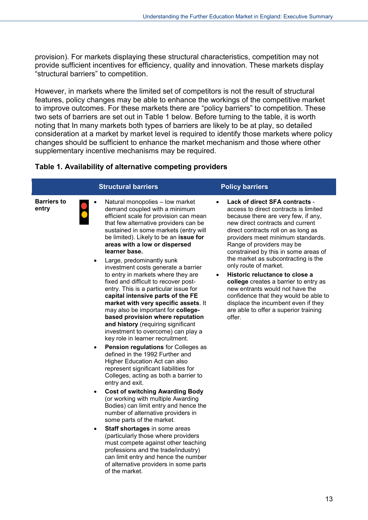provision). For markets displaying these structural characteristics, competition may not provide sufficient incentives for efficiency, quality and innovation. These markets display "structural barriers" to competition.

However, in markets where the limited set of competitors is not the result of structural features, policy changes may be able to enhance the workings of the competitive market to improve outcomes. For these markets there are "policy barriers" to competition. These two sets of barriers are set out in Table 1 below. Before turning to the table, it is worth noting that In many markets both types of barriers are likely to be at play, so detailed consideration at a market by market level is required to identify those markets where policy changes should be sufficient to enhance the market mechanism and those where other supplementary incentive mechanisms may be required.

#### **Table 1. Availability of alternative competing providers**

|                             | <b>Structural barriers</b>                                                                                                                                                                                                                                                                                                                                                                                                                                                                                                                                                                                                                                                                                                                                                                                                                                                                                                                                                                                                                                                                                                                                                                                                                                                                                                                                                                   | <b>Policy barriers</b>                                                                                                                                                                                                                                                                                                                                                                                                                                                                                                                                                                                                            |
|-----------------------------|----------------------------------------------------------------------------------------------------------------------------------------------------------------------------------------------------------------------------------------------------------------------------------------------------------------------------------------------------------------------------------------------------------------------------------------------------------------------------------------------------------------------------------------------------------------------------------------------------------------------------------------------------------------------------------------------------------------------------------------------------------------------------------------------------------------------------------------------------------------------------------------------------------------------------------------------------------------------------------------------------------------------------------------------------------------------------------------------------------------------------------------------------------------------------------------------------------------------------------------------------------------------------------------------------------------------------------------------------------------------------------------------|-----------------------------------------------------------------------------------------------------------------------------------------------------------------------------------------------------------------------------------------------------------------------------------------------------------------------------------------------------------------------------------------------------------------------------------------------------------------------------------------------------------------------------------------------------------------------------------------------------------------------------------|
| <b>Barriers to</b><br>entry | Natural monopolies - low market<br>$\bullet$<br>demand coupled with a minimum<br>efficient scale for provision can mean<br>that few alternative providers can be<br>sustained in some markets (entry will<br>be limited). Likely to be an issue for<br>areas with a low or dispersed<br>learner base.<br>Large, predominantly sunk<br>$\bullet$<br>investment costs generate a barrier<br>to entry in markets where they are<br>fixed and difficult to recover post-<br>entry. This is a particular issue for<br>capital intensive parts of the FE<br>market with very specific assets. It<br>may also be important for college-<br>based provision where reputation<br>and history (requiring significant<br>investment to overcome) can play a<br>key role in learner recruitment.<br><b>Pension regulations for Colleges as</b><br>$\bullet$<br>defined in the 1992 Further and<br>Higher Education Act can also<br>represent significant liabilities for<br>Colleges, acting as both a barrier to<br>entry and exit.<br><b>Cost of switching Awarding Body</b><br>$\bullet$<br>(or working with multiple Awarding<br>Bodies) can limit entry and hence the<br>number of alternative providers in<br>some parts of the market.<br>Staff shortages in some areas<br>٠<br>(particularly those where providers<br>must compete against other teaching<br>professions and the trade/industry) | Lack of direct SFA contracts -<br>access to direct contracts is limited<br>because there are very few, if any,<br>new direct contracts and current<br>direct contracts roll on as long as<br>providers meet minimum standards.<br>Range of providers may be<br>constrained by this in some areas of<br>the market as subcontracting is the<br>only route of market.<br>Historic reluctance to close a<br>$\bullet$<br>college creates a barrier to entry as<br>new entrants would not have the<br>confidence that they would be able to<br>displace the incumbent even if they<br>are able to offer a superior training<br>offer. |
|                             | can limit entry and hence the number                                                                                                                                                                                                                                                                                                                                                                                                                                                                                                                                                                                                                                                                                                                                                                                                                                                                                                                                                                                                                                                                                                                                                                                                                                                                                                                                                         |                                                                                                                                                                                                                                                                                                                                                                                                                                                                                                                                                                                                                                   |

of alternative providers in some parts

of the market.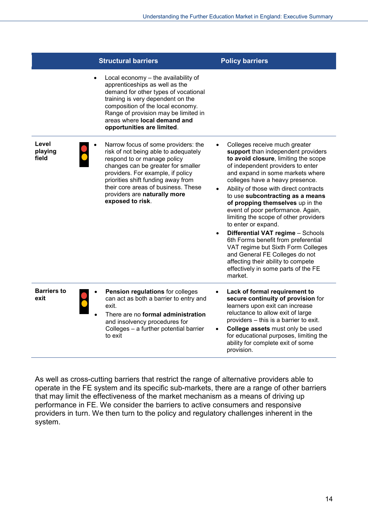|                            | <b>Structural barriers</b>                                                                                                                                                                                                                                                                                             | <b>Policy barriers</b>                                                                                                                                                                                                                                                                                                                                                                                                                                                                                                                                                                                                                                                                                  |
|----------------------------|------------------------------------------------------------------------------------------------------------------------------------------------------------------------------------------------------------------------------------------------------------------------------------------------------------------------|---------------------------------------------------------------------------------------------------------------------------------------------------------------------------------------------------------------------------------------------------------------------------------------------------------------------------------------------------------------------------------------------------------------------------------------------------------------------------------------------------------------------------------------------------------------------------------------------------------------------------------------------------------------------------------------------------------|
|                            | Local economy - the availability of<br>apprenticeships as well as the<br>demand for other types of vocational<br>training is very dependent on the<br>composition of the local economy.<br>Range of provision may be limited in<br>areas where local demand and<br>opportunities are limited.                          |                                                                                                                                                                                                                                                                                                                                                                                                                                                                                                                                                                                                                                                                                                         |
| Level<br>playing<br>field  | Narrow focus of some providers: the<br>risk of not being able to adequately<br>respond to or manage policy<br>changes can be greater for smaller<br>providers. For example, if policy<br>priorities shift funding away from<br>their core areas of business. These<br>providers are naturally more<br>exposed to risk. | Colleges receive much greater<br>support than independent providers<br>to avoid closure, limiting the scope<br>of independent providers to enter<br>and expand in some markets where<br>colleges have a heavy presence.<br>Ability of those with direct contracts<br>to use subcontracting as a means<br>of propping themselves up in the<br>event of poor performance. Again,<br>limiting the scope of other providers<br>to enter or expand.<br>Differential VAT regime - Schools<br>$\bullet$<br>6th Forms benefit from preferential<br>VAT regime but Sixth Form Colleges<br>and General FE Colleges do not<br>affecting their ability to compete<br>effectively in some parts of the FE<br>market. |
| <b>Barriers to</b><br>exit | Pension regulations for colleges<br>can act as both a barrier to entry and<br>exit.<br>There are no formal administration<br>and insolvency procedures for<br>Colleges - a further potential barrier<br>to exit                                                                                                        | Lack of formal requirement to<br>secure continuity of provision for<br>learners upon exit can increase<br>reluctance to allow exit of large<br>providers - this is a barrier to exit.<br>College assets must only be used<br>$\bullet$<br>for educational purposes, limiting the<br>ability for complete exit of some<br>provision.                                                                                                                                                                                                                                                                                                                                                                     |

As well as cross-cutting barriers that restrict the range of alternative providers able to operate in the FE system and its specific sub-markets, there are a range of other barriers that may limit the effectiveness of the market mechanism as a means of driving up performance in FE. We consider the barriers to active consumers and responsive providers in turn. We then turn to the policy and regulatory challenges inherent in the system.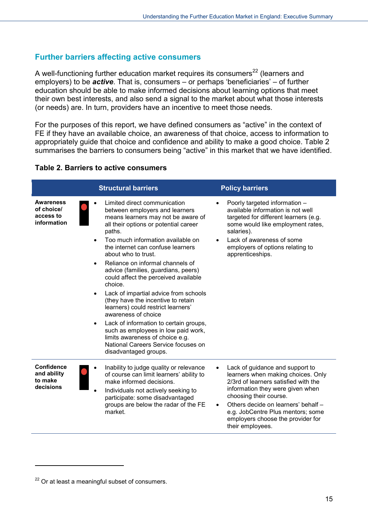### **Further barriers affecting active consumers**

A well-functioning further education market requires its consumers<sup>[22](#page-14-0)</sup> (learners and employers) to be *active*. That is, consumers – or perhaps 'beneficiaries' – of further education should be able to make informed decisions about learning options that meet their own best interests, and also send a signal to the market about what those interests (or needs) are. In turn, providers have an incentive to meet those needs.

For the purposes of this report, we have defined consumers as "active" in the context of FE if they have an available choice, an awareness of that choice, access to information to appropriately guide that choice and confidence and ability to make a good choice. Table 2 summarises the barriers to consumers being "active" in this market that we have identified.

#### **Table 2. Barriers to active consumers**

|                                                          | <b>Structural barriers</b>                                                                                                                                                                                                                                                                                                                                                                                                                                                                                                                                                                                                                                                                                                                                                 | <b>Policy barriers</b>                                                                                                                                                                                                                                                                                           |
|----------------------------------------------------------|----------------------------------------------------------------------------------------------------------------------------------------------------------------------------------------------------------------------------------------------------------------------------------------------------------------------------------------------------------------------------------------------------------------------------------------------------------------------------------------------------------------------------------------------------------------------------------------------------------------------------------------------------------------------------------------------------------------------------------------------------------------------------|------------------------------------------------------------------------------------------------------------------------------------------------------------------------------------------------------------------------------------------------------------------------------------------------------------------|
| Awareness<br>of choice/<br>access to<br>information      | Limited direct communication<br>between employers and learners<br>means learners may not be aware of<br>all their options or potential career<br>paths.<br>Too much information available on<br>$\bullet$<br>the internet can confuse learners<br>about who to trust.<br>Reliance on informal channels of<br>$\bullet$<br>advice (families, guardians, peers)<br>could affect the perceived available<br>choice.<br>Lack of impartial advice from schools<br>$\bullet$<br>(they have the incentive to retain<br>learners) could restrict learners'<br>awareness of choice<br>Lack of information to certain groups,<br>$\bullet$<br>such as employees in low paid work,<br>limits awareness of choice e.g.<br>National Careers Service focuses on<br>disadvantaged groups. | Poorly targeted information -<br>available information is not well<br>targeted for different learners (e.g.<br>some would like employment rates,<br>salaries).<br>Lack of awareness of some<br>$\bullet$<br>employers of options relating to<br>apprenticeships.                                                 |
| <b>Confidence</b><br>and ability<br>to make<br>decisions | Inability to judge quality or relevance<br>of course can limit learners' ability to<br>make informed decisions.<br>Individuals not actively seeking to<br>participate: some disadvantaged<br>groups are below the radar of the FE<br>market.                                                                                                                                                                                                                                                                                                                                                                                                                                                                                                                               | Lack of guidance and support to<br>learners when making choices. Only<br>2/3rd of learners satisfied with the<br>information they were given when<br>choosing their course.<br>Others decide on learners' behalf -<br>e.g. JobCentre Plus mentors; some<br>employers choose the provider for<br>their employees. |

-

<span id="page-14-0"></span> $22$  Or at least a meaningful subset of consumers.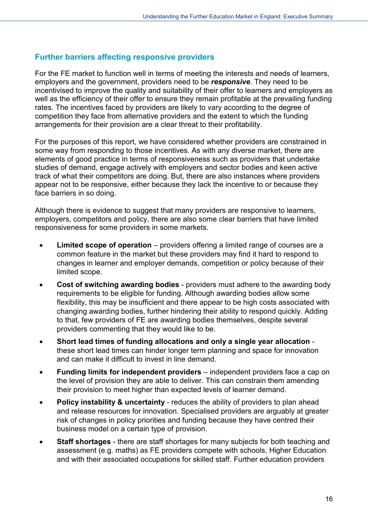### **Further barriers affecting responsive providers**

For the FE market to function well in terms of meeting the interests and needs of learners, employers and the government, providers need to be *responsive*. They need to be incentivised to improve the quality and suitability of their offer to learners and employers as well as the efficiency of their offer to ensure they remain profitable at the prevailing funding rates. The incentives faced by providers are likely to vary according to the degree of competition they face from alternative providers and the extent to which the funding arrangements for their provision are a clear threat to their profitability.

For the purposes of this report, we have considered whether providers are constrained in some way from responding to those incentives. As with any diverse market, there are elements of good practice in terms of responsiveness such as providers that undertake studies of demand, engage actively with employers and sector bodies and keen active track of what their competitors are doing. But, there are also instances where providers appear not to be responsive, either because they lack the incentive to or because they face barriers in so doing.

Although there is evidence to suggest that many providers are responsive to learners, employers, competitors and policy, there are also some clear barriers that have limited responsiveness for some providers in some markets.

- **Limited scope of operation** providers offering a limited range of courses are a common feature in the market but these providers may find it hard to respond to changes in learner and employer demands, competition or policy because of their limited scope.
- **Cost of switching awarding bodies** providers must adhere to the awarding body requirements to be eligible for funding. Although awarding bodies allow some flexibility, this may be insufficient and there appear to be high costs associated with changing awarding bodies, further hindering their ability to respond quickly. Adding to that, few providers of FE are awarding bodies themselves, despite several providers commenting that they would like to be.
- **Short lead times of funding allocations and only a single year allocation** these short lead times can hinder longer term planning and space for innovation and can make it difficult to invest in line demand.
- **Funding limits for independent providers** independent providers face a cap on the level of provision they are able to deliver. This can constrain them amending their provision to meet higher than expected levels of learner demand.
- **Policy instability & uncertainty** reduces the ability of providers to plan ahead and release resources for innovation. Specialised providers are arguably at greater risk of changes in policy priorities and funding because they have centred their business model on a certain type of provision.
- **Staff shortages** there are staff shortages for many subjects for both teaching and assessment (e.g. maths) as FE providers compete with schools, Higher Education and with their associated occupations for skilled staff. Further education providers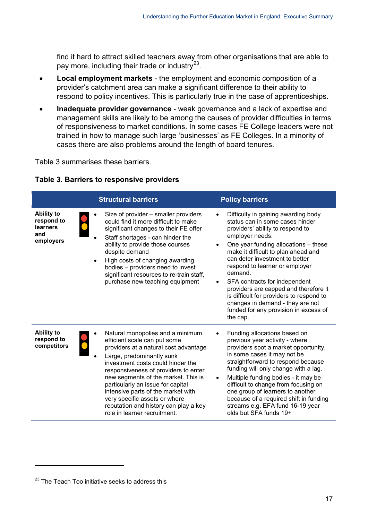find it hard to attract skilled teachers away from other organisations that are able to pay more, including their trade or industry $^{23}$  $^{23}$  $^{23}$ .

- **Local employment markets** the employment and economic composition of a provider's catchment area can make a significant difference to their ability to respond to policy incentives. This is particularly true in the case of apprenticeships.
- **Inadequate provider governance** weak governance and a lack of expertise and management skills are likely to be among the causes of provider difficulties in terms of responsiveness to market conditions. In some cases FE College leaders were not trained in how to manage such large 'businesses' as FE Colleges. In a minority of cases there are also problems around the length of board tenures.

Table 3 summarises these barriers.

| Table 3. Barriers to responsive providers |  |  |  |
|-------------------------------------------|--|--|--|
|-------------------------------------------|--|--|--|

|                                                                 | <b>Structural barriers</b>                                                                                                                                                                                                                                                                                                                                                                                                                      | <b>Policy barriers</b>                                                                                                                                                                                                                                                                                                                                                                                                                                                                                                  |
|-----------------------------------------------------------------|-------------------------------------------------------------------------------------------------------------------------------------------------------------------------------------------------------------------------------------------------------------------------------------------------------------------------------------------------------------------------------------------------------------------------------------------------|-------------------------------------------------------------------------------------------------------------------------------------------------------------------------------------------------------------------------------------------------------------------------------------------------------------------------------------------------------------------------------------------------------------------------------------------------------------------------------------------------------------------------|
| <b>Ability to</b><br>respond to<br>learners<br>and<br>employers | Size of provider - smaller providers<br>could find it more difficult to make<br>significant changes to their FE offer<br>Staff shortages - can hinder the<br>ability to provide those courses<br>despite demand<br>High costs of changing awarding<br>bodies - providers need to invest<br>significant resources to re-train staff,<br>purchase new teaching equipment                                                                          | Difficulty in gaining awarding body<br>status can in some cases hinder<br>providers' ability to respond to<br>employer needs.<br>One year funding allocations – these<br>$\bullet$<br>make it difficult to plan ahead and<br>can deter investment to better<br>respond to learner or employer<br>demand.<br>SFA contracts for independent<br>providers are capped and therefore it<br>is difficult for providers to respond to<br>changes in demand - they are not<br>funded for any provision in excess of<br>the cap. |
| <b>Ability to</b><br>respond to<br>competitors                  | Natural monopolies and a minimum<br>efficient scale can put some<br>providers at a natural cost advantage<br>Large, predominantly sunk<br>investment costs could hinder the<br>responsiveness of providers to enter<br>new segments of the market. This is<br>particularly an issue for capital<br>intensive parts of the market with<br>very specific assets or where<br>reputation and history can play a key<br>role in learner recruitment. | Funding allocations based on<br>previous year activity - where<br>providers spot a market opportunity,<br>in some cases it may not be<br>straightforward to respond because<br>funding will only change with a lag.<br>Multiple funding bodies - it may be<br>$\bullet$<br>difficult to change from focusing on<br>one group of learners to another<br>because of a required shift in funding<br>streams e.g. EFA fund 16-19 year<br>olds but SFA funds 19+                                                             |

-

<span id="page-16-0"></span><sup>&</sup>lt;sup>23</sup> The Teach Too initiative seeks to address this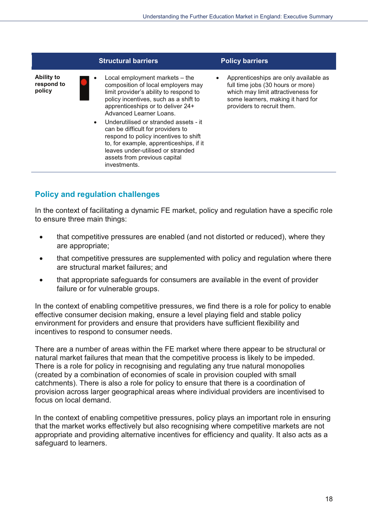

## **Policy and regulation challenges**

In the context of facilitating a dynamic FE market, policy and regulation have a specific role to ensure three main things:

- that competitive pressures are enabled (and not distorted or reduced), where they are appropriate;
- that competitive pressures are supplemented with policy and regulation where there are structural market failures: and
- that appropriate safeguards for consumers are available in the event of provider failure or for vulnerable groups.

In the context of enabling competitive pressures, we find there is a role for policy to enable effective consumer decision making, ensure a level playing field and stable policy environment for providers and ensure that providers have sufficient flexibility and incentives to respond to consumer needs.

There are a number of areas within the FE market where there appear to be structural or natural market failures that mean that the competitive process is likely to be impeded. There is a role for policy in recognising and regulating any true natural monopolies (created by a combination of economies of scale in provision coupled with small catchments). There is also a role for policy to ensure that there is a coordination of provision across larger geographical areas where individual providers are incentivised to focus on local demand.

In the context of enabling competitive pressures, policy plays an important role in ensuring that the market works effectively but also recognising where competitive markets are not appropriate and providing alternative incentives for efficiency and quality. It also acts as a safequard to learners.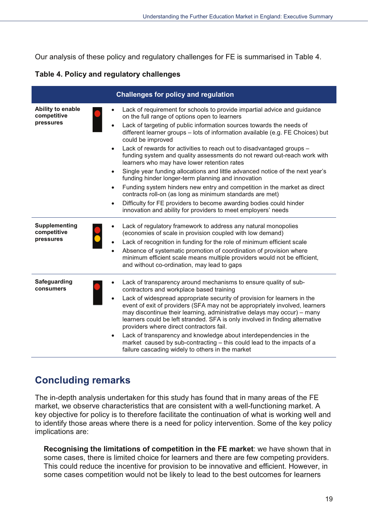Our analysis of these policy and regulatory challenges for FE is summarised in Table 4.

#### Table 4. Policy and regulatory challenges

|                                                  | <b>Challenges for policy and regulation</b>                                                                                                                                                                                                                                                                                                                                                                                                                                                                                                                                                                                                                                                                                                                                                                                                                                                                                        |
|--------------------------------------------------|------------------------------------------------------------------------------------------------------------------------------------------------------------------------------------------------------------------------------------------------------------------------------------------------------------------------------------------------------------------------------------------------------------------------------------------------------------------------------------------------------------------------------------------------------------------------------------------------------------------------------------------------------------------------------------------------------------------------------------------------------------------------------------------------------------------------------------------------------------------------------------------------------------------------------------|
| Ability to enable<br>competitive<br>pressures    | Lack of requirement for schools to provide impartial advice and guidance<br>on the full range of options open to learners<br>Lack of targeting of public information sources towards the needs of<br>different learner groups - lots of information available (e.g. FE Choices) but<br>could be improved<br>Lack of rewards for activities to reach out to disadvantaged groups -<br>funding system and quality assessments do not reward out-reach work with<br>learners who may have lower retention rates<br>Single year funding allocations and little advanced notice of the next year's<br>funding hinder longer-term planning and innovation<br>Funding system hinders new entry and competition in the market as direct<br>contracts roll-on (as long as minimum standards are met)<br>Difficulty for FE providers to become awarding bodies could hinder<br>innovation and ability for providers to meet employers' needs |
| <b>Supplementing</b><br>competitive<br>pressures | Lack of regulatory framework to address any natural monopolies<br>(economies of scale in provision coupled with low demand)<br>Lack of recognition in funding for the role of minimum efficient scale<br>Absence of systematic promotion of coordination of provision where<br>minimum efficient scale means multiple providers would not be efficient,<br>and without co-ordination, may lead to gaps                                                                                                                                                                                                                                                                                                                                                                                                                                                                                                                             |
| Safeguarding<br>consumers                        | Lack of transparency around mechanisms to ensure quality of sub-<br>contractors and workplace based training<br>Lack of widespread appropriate security of provision for learners in the<br>event of exit of providers (SFA may not be appropriately involved, learners<br>may discontinue their learning, administrative delays may occur) - many<br>learners could be left stranded. SFA is only involved in finding alternative<br>providers where direct contractors fail.<br>Lack of transparency and knowledge about interdependencies in the<br>market caused by sub-contracting - this could lead to the impacts of a<br>failure cascading widely to others in the market                                                                                                                                                                                                                                                  |

# <span id="page-18-0"></span>**Concluding remarks**

The in-depth analysis undertaken for this study has found that in many areas of the FE market, we observe characteristics that are consistent with a well-functioning market. A key objective for policy is to therefore facilitate the continuation of what is working well and to identify those areas where there is a need for policy intervention. Some of the key policy implications are:

Recognising the limitations of competition in the FE market: we have shown that in some cases, there is limited choice for learners and there are few competing providers. This could reduce the incentive for provision to be innovative and efficient. However, in some cases competition would not be likely to lead to the best outcomes for learners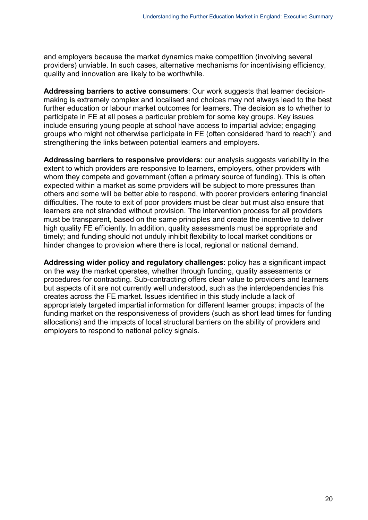and employers because the market dynamics make competition (involving several providers) unviable. In such cases, alternative mechanisms for incentivising efficiency, quality and innovation are likely to be worthwhile.

**Addressing barriers to active consumers**: Our work suggests that learner decisionmaking is extremely complex and localised and choices may not always lead to the best further education or labour market outcomes for learners. The decision as to whether to participate in FE at all poses a particular problem for some key groups. Key issues include ensuring young people at school have access to impartial advice; engaging groups who might not otherwise participate in FE (often considered 'hard to reach'); and strengthening the links between potential learners and employers.

**Addressing barriers to responsive providers**: our analysis suggests variability in the extent to which providers are responsive to learners, employers, other providers with whom they compete and government (often a primary source of funding). This is often expected within a market as some providers will be subject to more pressures than others and some will be better able to respond, with poorer providers entering financial difficulties. The route to exit of poor providers must be clear but must also ensure that learners are not stranded without provision. The intervention process for all providers must be transparent, based on the same principles and create the incentive to deliver high quality FE efficiently. In addition, quality assessments must be appropriate and timely; and funding should not unduly inhibit flexibility to local market conditions or hinder changes to provision where there is local, regional or national demand.

**Addressing wider policy and regulatory challenges**: policy has a significant impact on the way the market operates, whether through funding, quality assessments or procedures for contracting. Sub-contracting offers clear value to providers and learners but aspects of it are not currently well understood, such as the interdependencies this creates across the FE market. Issues identified in this study include a lack of appropriately targeted impartial information for different learner groups; impacts of the funding market on the responsiveness of providers (such as short lead times for funding allocations) and the impacts of local structural barriers on the ability of providers and employers to respond to national policy signals.